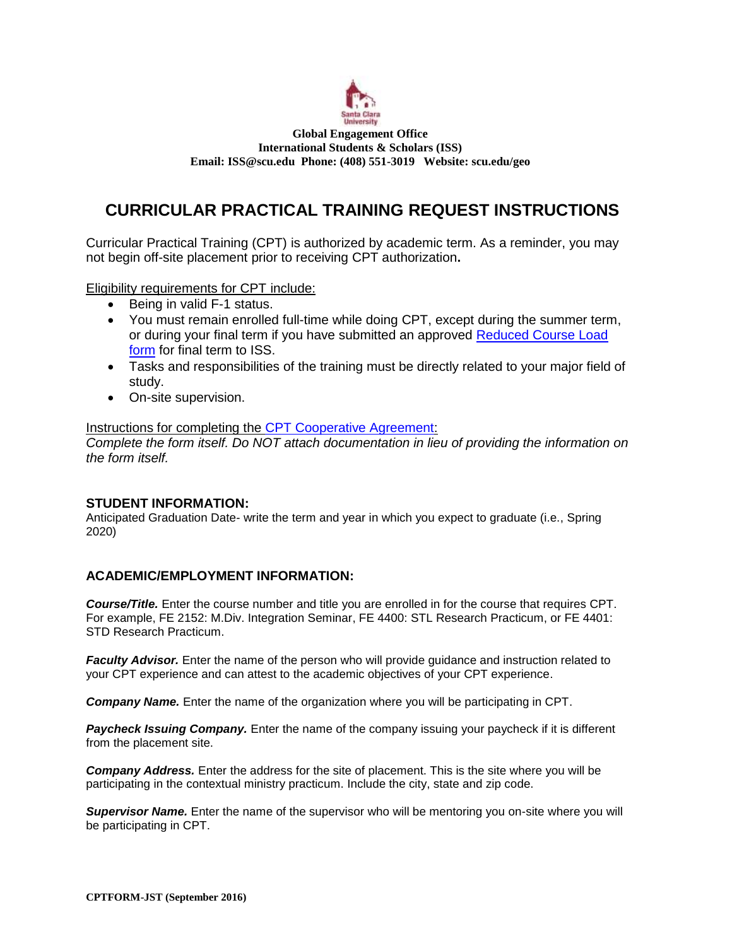

#### **Global Engagement Office International Students & Scholars (ISS) Email[: ISS@scu.edu](mailto:ISS@scu.edu) Phone: (408) 551-3019 Website: scu.edu/geo**

# **CURRICULAR PRACTICAL TRAINING REQUEST INSTRUCTIONS**

Curricular Practical Training (CPT) is authorized by academic term. As a reminder, you may not begin off-site placement prior to receiving CPT authorization**.**

Eligibility requirements for CPT include:

- Being in valid F-1 status.
- You must remain enrolled full-time while doing CPT, except during the summer term, or during your final term if you have submitted an approved [Reduced Course Load](https://www.scu.edu/media/offices/global-engagement/iss/forms/RCL-Form-2013.pdf)  [form](https://www.scu.edu/media/offices/global-engagement/iss/forms/RCL-Form-2013.pdf) for final term to ISS.
- Tasks and responsibilities of the training must be directly related to your major field of study.
- On-site supervision.

Instructions for completing the [CPT Cooperative Agreement:](https://www.scu.edu/media/offices/global-engagement/iss/forms/CPT-Cooperative-Agreement-Form-2015-fillable.pdf)

*Complete the form itself. Do NOT attach documentation in lieu of providing the information on the form itself.*

### **STUDENT INFORMATION:**

Anticipated Graduation Date- write the term and year in which you expect to graduate (i.e., Spring 2020)

## **ACADEMIC/EMPLOYMENT INFORMATION:**

*Course/Title.* Enter the course number and title you are enrolled in for the course that requires CPT. For example, FE 2152: M.Div. Integration Seminar, FE 4400: STL Research Practicum, or FE 4401: STD Research Practicum.

**Faculty Advisor.** Enter the name of the person who will provide guidance and instruction related to your CPT experience and can attest to the academic objectives of your CPT experience.

*Company Name.* Enter the name of the organization where you will be participating in CPT.

**Paycheck Issuing Company.** Enter the name of the company issuing your paycheck if it is different from the placement site.

*Company Address.* Enter the address for the site of placement. This is the site where you will be participating in the contextual ministry practicum. Include the city, state and zip code.

*Supervisor Name.* Enter the name of the supervisor who will be mentoring you on-site where you will be participating in CPT.